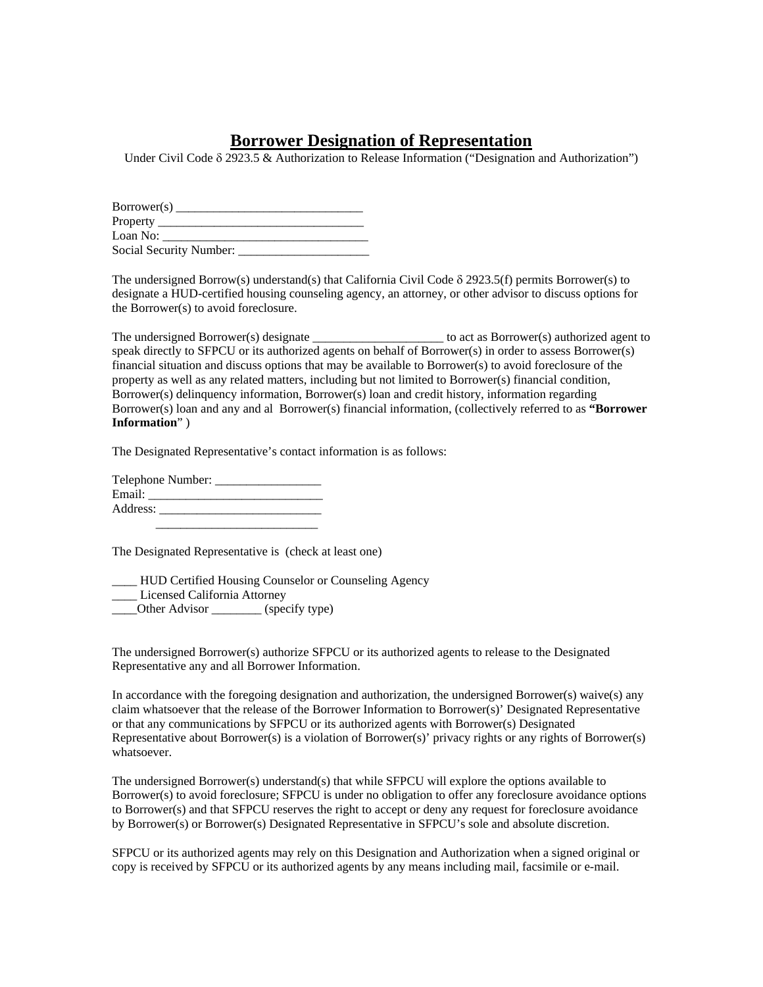## **Borrower Designation of Representation**

Under Civil Code δ 2923.5 & Authorization to Release Information ("Designation and Authorization")

| Borrower(s)             |  |
|-------------------------|--|
| Property __________     |  |
| Loan No:                |  |
| Social Security Number: |  |

The undersigned Borrow(s) understand(s) that California Civil Code  $\delta$  2923.5(f) permits Borrower(s) to designate a HUD-certified housing counseling agency, an attorney, or other advisor to discuss options for the Borrower(s) to avoid foreclosure.

The undersigned Borrower(s) designate \_\_\_\_\_\_\_\_\_\_\_\_\_\_\_\_\_\_\_\_\_\_\_ to act as Borrower(s) authorized agent to speak directly to SFPCU or its authorized agents on behalf of Borrower(s) in order to assess Borrower(s) financial situation and discuss options that may be available to Borrower(s) to avoid foreclosure of the property as well as any related matters, including but not limited to Borrower(s) financial condition, Borrower(s) delinquency information, Borrower(s) loan and credit history, information regarding Borrower(s) loan and any and al Borrower(s) financial information, (collectively referred to as **"Borrower Information**" )

The Designated Representative's contact information is as follows:

Telephone Number: Email: \_\_\_\_\_\_\_\_\_\_\_\_\_\_\_\_\_\_\_\_\_\_\_\_\_\_\_\_ Address: \_\_\_\_\_\_\_\_\_\_\_\_\_\_\_\_\_\_\_\_\_\_\_\_\_\_  $\frac{1}{\sqrt{2}}$  ,  $\frac{1}{\sqrt{2}}$  ,  $\frac{1}{\sqrt{2}}$  ,  $\frac{1}{\sqrt{2}}$  ,  $\frac{1}{\sqrt{2}}$  ,  $\frac{1}{\sqrt{2}}$  ,  $\frac{1}{\sqrt{2}}$  ,  $\frac{1}{\sqrt{2}}$  ,  $\frac{1}{\sqrt{2}}$  ,  $\frac{1}{\sqrt{2}}$  ,  $\frac{1}{\sqrt{2}}$  ,  $\frac{1}{\sqrt{2}}$  ,  $\frac{1}{\sqrt{2}}$  ,  $\frac{1}{\sqrt{2}}$  ,  $\frac{1}{\sqrt{2}}$ 

The Designated Representative is (check at least one)

\_\_\_\_ HUD Certified Housing Counselor or Counseling Agency Licensed California Attorney \_\_\_\_Other Advisor \_\_\_\_\_\_\_\_ (specify type)

The undersigned Borrower(s) authorize SFPCU or its authorized agents to release to the Designated Representative any and all Borrower Information.

In accordance with the foregoing designation and authorization, the undersigned Borrower(s) waive(s) any claim whatsoever that the release of the Borrower Information to Borrower(s)' Designated Representative or that any communications by SFPCU or its authorized agents with Borrower(s) Designated Representative about Borrower(s) is a violation of Borrower(s)' privacy rights or any rights of Borrower(s) whatsoever.

The undersigned Borrower(s) understand(s) that while SFPCU will explore the options available to Borrower(s) to avoid foreclosure; SFPCU is under no obligation to offer any foreclosure avoidance options to Borrower(s) and that SFPCU reserves the right to accept or deny any request for foreclosure avoidance by Borrower(s) or Borrower(s) Designated Representative in SFPCU's sole and absolute discretion.

SFPCU or its authorized agents may rely on this Designation and Authorization when a signed original or copy is received by SFPCU or its authorized agents by any means including mail, facsimile or e-mail.